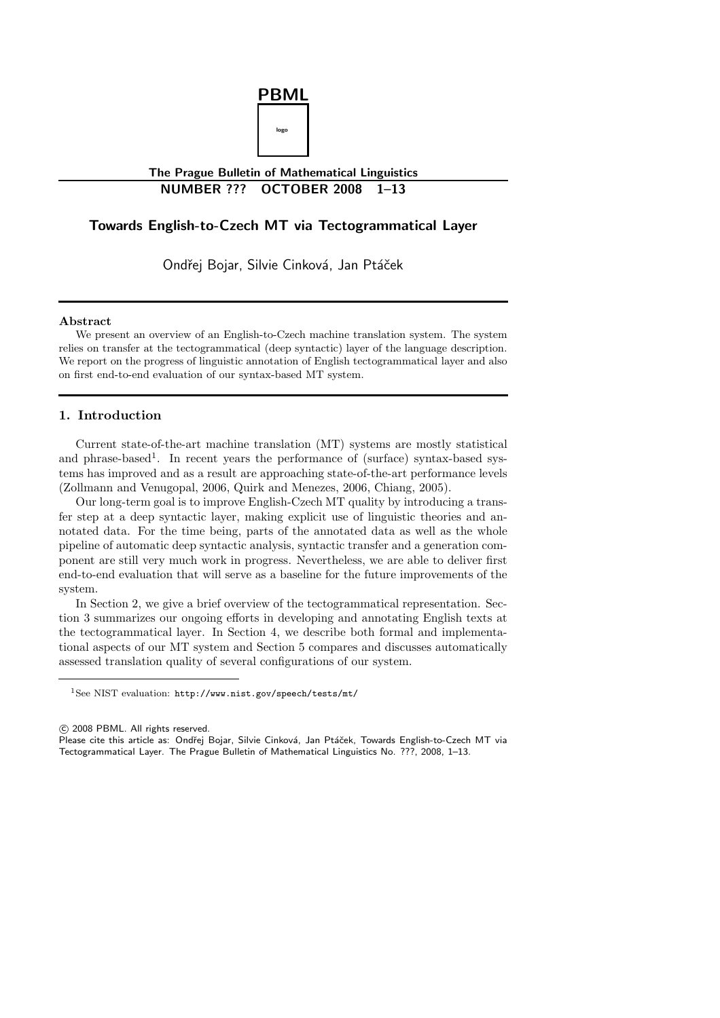

# **The Prague Bulletin of Mathematical Linguistics NUMBER ??? OCTOBER 2008 1–13**

# **Towards English-to-Czech MT via Tectogrammatical Layer**

Ondřej Bojar, Silvie Cinková, Jan Ptáček

#### **Abstract**

We present an overview of an English-to-Czech machine translation system. The system relies on transfer at the tectogrammatical (deep syntactic) layer of the language description. We report on the progress of linguistic annotation of English tectogrammatical layer and also on first end-to-end evaluation of our syntax-based MT system.

# **1. Introduction**

Current state-of-the-art machine translation (MT) systems are mostly statistical and phrase-based<sup>1</sup>. In recent years the performance of (surface) syntax-based systems has improved and as a result are approaching state-of-the-art performance levels (Zollmann and Venugopal, 2006, Quirk and Menezes, 2006, Chiang, 2005).

Our long-term goal is to improve English-Czech MT quality by introducing a transfer step at a deep syntactic layer, making explicit use of linguistic theories and annotated data. For the time being, parts of the annotated data as well as the whole pipeline of automatic deep syntactic analysis, syntactic transfer and a generation component are still very much work in progress. Nevertheless, we are able to deliver first end-to-end evaluation that will serve as a baseline for the future improvements of the system.

In Section 2, we give a brief overview of the tectogrammatical representation. Section 3 summarizes our ongoing efforts in developing and annotating English texts at the tectogrammatical layer. In Section 4, we describe both formal and implementational aspects of our MT system and Section 5 compares and discusses automatically assessed translation quality of several configurations of our system.

c 2008 PBML. All rights reserved.

<sup>1</sup>See NIST evaluation: http://www.nist.gov/speech/tests/mt/

Please cite this article as: Ondřej Bojar, Silvie Cinková, Jan Ptáček, Towards English-to-Czech MT via Tectogrammatical Layer. The Prague Bulletin of Mathematical Linguistics No. ???, 2008, 1–13.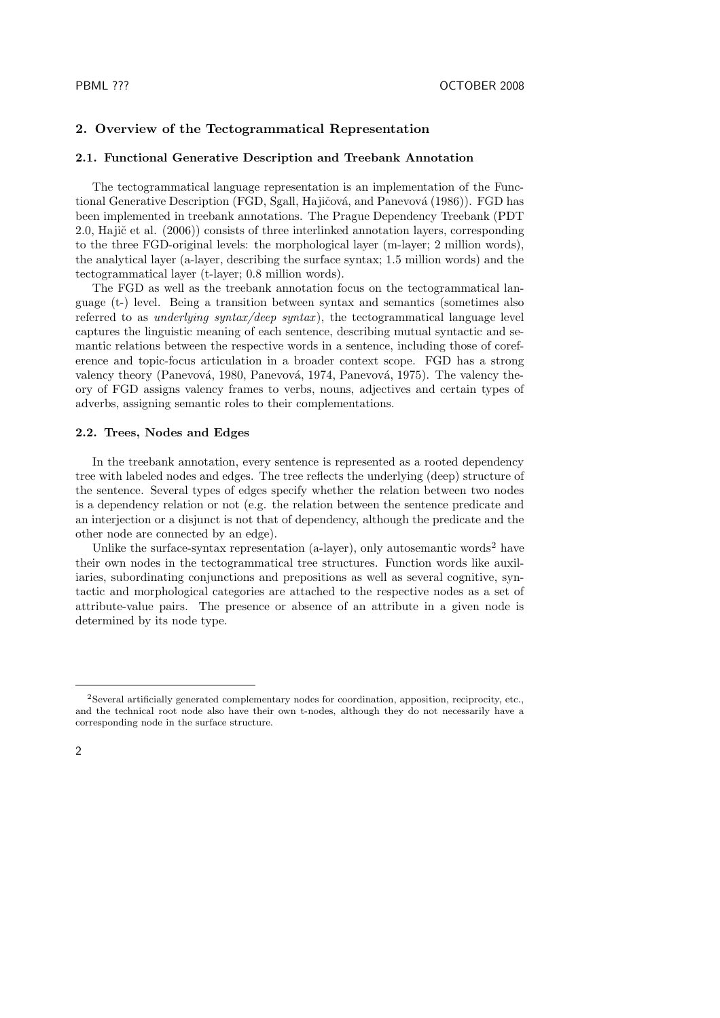## **2. Overview of the Tectogrammatical Representation**

#### **2.1. Functional Generative Description and Treebank Annotation**

The tectogrammatical language representation is an implementation of the Functional Generative Description (FGD, Sgall, Hajičová, and Panevová (1986)). FGD has been implemented in treebank annotations. The Prague Dependency Treebank (PDT 2.0, Hajič et al. (2006)) consists of three interlinked annotation layers, corresponding to the three FGD-original levels: the morphological layer (m-layer; 2 million words), the analytical layer (a-layer, describing the surface syntax; 1.5 million words) and the tectogrammatical layer (t-layer; 0.8 million words).

The FGD as well as the treebank annotation focus on the tectogrammatical language (t-) level. Being a transition between syntax and semantics (sometimes also referred to as *underlying syntax/deep syntax* ), the tectogrammatical language level captures the linguistic meaning of each sentence, describing mutual syntactic and semantic relations between the respective words in a sentence, including those of coreference and topic-focus articulation in a broader context scope. FGD has a strong valency theory (Panevová, 1980, Panevová, 1974, Panevová, 1975). The valency theory of FGD assigns valency frames to verbs, nouns, adjectives and certain types of adverbs, assigning semantic roles to their complementations.

### **2.2. Trees, Nodes and Edges**

In the treebank annotation, every sentence is represented as a rooted dependency tree with labeled nodes and edges. The tree reflects the underlying (deep) structure of the sentence. Several types of edges specify whether the relation between two nodes is a dependency relation or not (e.g. the relation between the sentence predicate and an interjection or a disjunct is not that of dependency, although the predicate and the other node are connected by an edge).

Unlike the surface-syntax representation (a-layer), only autosemantic words<sup>2</sup> have their own nodes in the tectogrammatical tree structures. Function words like auxiliaries, subordinating conjunctions and prepositions as well as several cognitive, syntactic and morphological categories are attached to the respective nodes as a set of attribute-value pairs. The presence or absence of an attribute in a given node is determined by its node type.

<sup>2</sup>Several artificially generated complementary nodes for coordination, apposition, reciprocity, etc., and the technical root node also have their own t-nodes, although they do not necessarily have a corresponding node in the surface structure.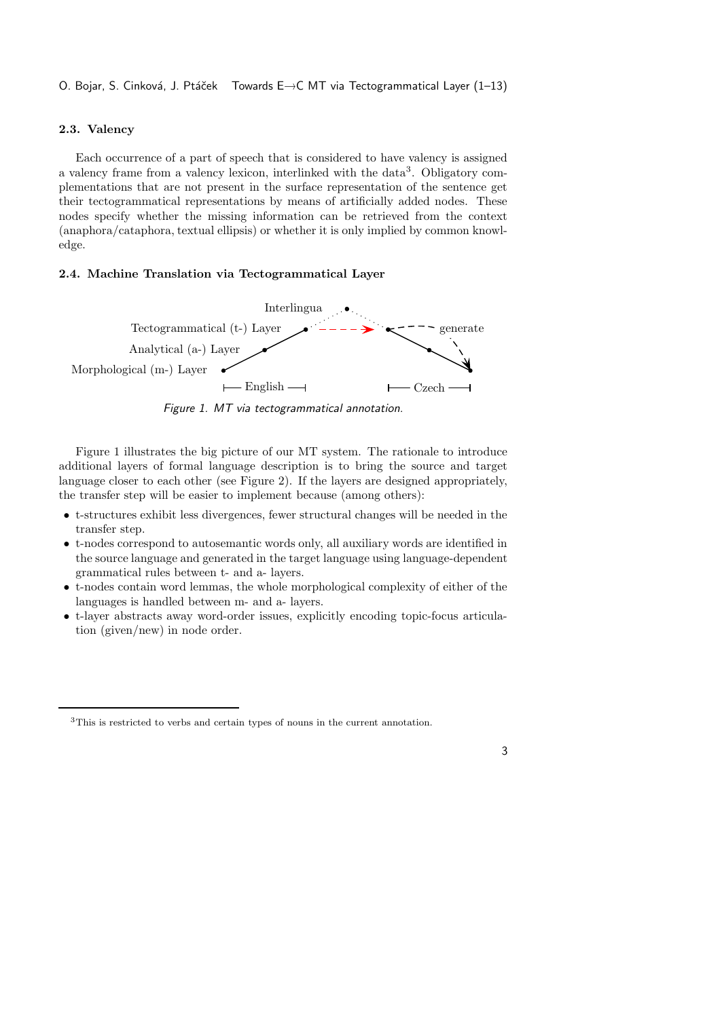O. Bojar, S. Cinková, J. Ptáček Towards E→C MT via Tectogrammatical Layer (1–13)

# **2.3. Valency**

Each occurrence of a part of speech that is considered to have valency is assigned a valency frame from a valency lexicon, interlinked with the data<sup>3</sup>. Obligatory complementations that are not present in the surface representation of the sentence get their tectogrammatical representations by means of artificially added nodes. These nodes specify whether the missing information can be retrieved from the context (anaphora/cataphora, textual ellipsis) or whether it is only implied by common knowledge.

### **2.4. Machine Translation via Tectogrammatical Layer**



*Figure 1. MT via tectogrammatical annotation.*

Figure 1 illustrates the big picture of our MT system. The rationale to introduce additional layers of formal language description is to bring the source and target language closer to each other (see Figure 2). If the layers are designed appropriately, the transfer step will be easier to implement because (among others):

- t-structures exhibit less divergences, fewer structural changes will be needed in the transfer step.
- t-nodes correspond to autosemantic words only, all auxiliary words are identified in the source language and generated in the target language using language-dependent grammatical rules between t- and a- layers.
- t-nodes contain word lemmas, the whole morphological complexity of either of the languages is handled between m- and a- layers.
- t-layer abstracts away word-order issues, explicitly encoding topic-focus articulation (given/new) in node order.

3

<sup>3</sup>This is restricted to verbs and certain types of nouns in the current annotation.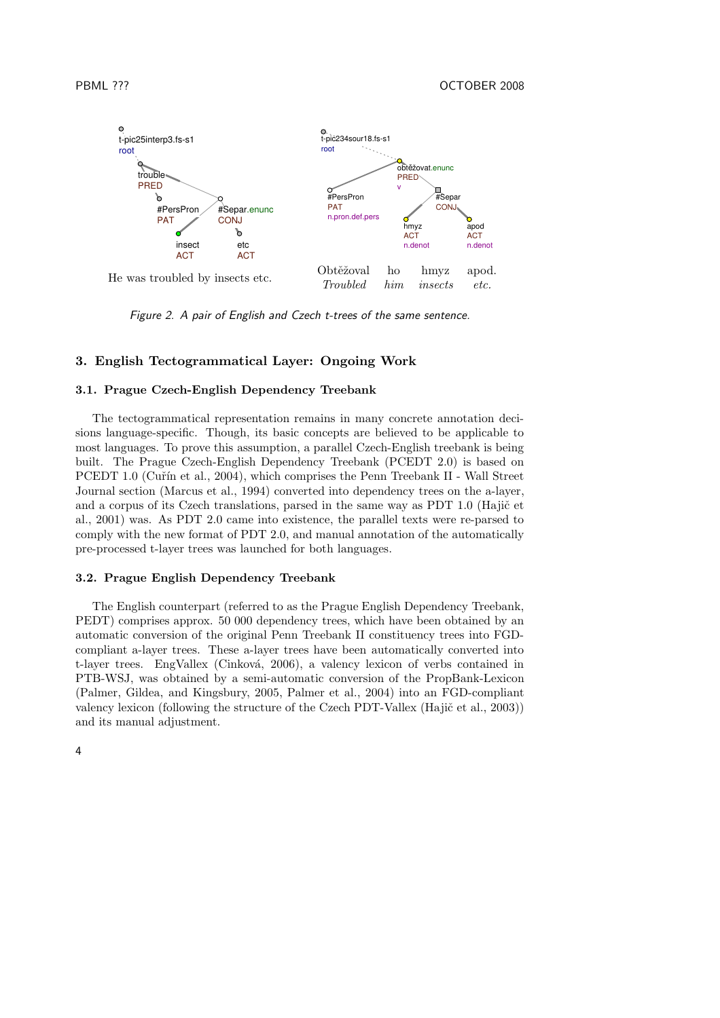

*Figure 2. A pair of English and Czech t-trees of the same sentence.*

# **3. English Tectogrammatical Layer: Ongoing Work**

# **3.1. Prague Czech-English Dependency Treebank**

The tectogrammatical representation remains in many concrete annotation decisions language-specific. Though, its basic concepts are believed to be applicable to most languages. To prove this assumption, a parallel Czech-English treebank is being built. The Prague Czech-English Dependency Treebank (PCEDT 2.0) is based on PCEDT 1.0 (Cuřín et al., 2004), which comprises the Penn Treebank II - Wall Street Journal section (Marcus et al., 1994) converted into dependency trees on the a-layer, and a corpus of its Czech translations, parsed in the same way as PDT 1.0 (Hajič et al., 2001) was. As PDT 2.0 came into existence, the parallel texts were re-parsed to comply with the new format of PDT 2.0, and manual annotation of the automatically pre-processed t-layer trees was launched for both languages.

# **3.2. Prague English Dependency Treebank**

The English counterpart (referred to as the Prague English Dependency Treebank, PEDT) comprises approx. 50 000 dependency trees, which have been obtained by an automatic conversion of the original Penn Treebank II constituency trees into FGDcompliant a-layer trees. These a-layer trees have been automatically converted into t-layer trees. EngVallex (Cinková, 2006), a valency lexicon of verbs contained in PTB-WSJ, was obtained by a semi-automatic conversion of the PropBank-Lexicon (Palmer, Gildea, and Kingsbury, 2005, Palmer et al., 2004) into an FGD-compliant valency lexicon (following the structure of the Czech PDT-Vallex (Hajič et al., 2003)) and its manual adjustment.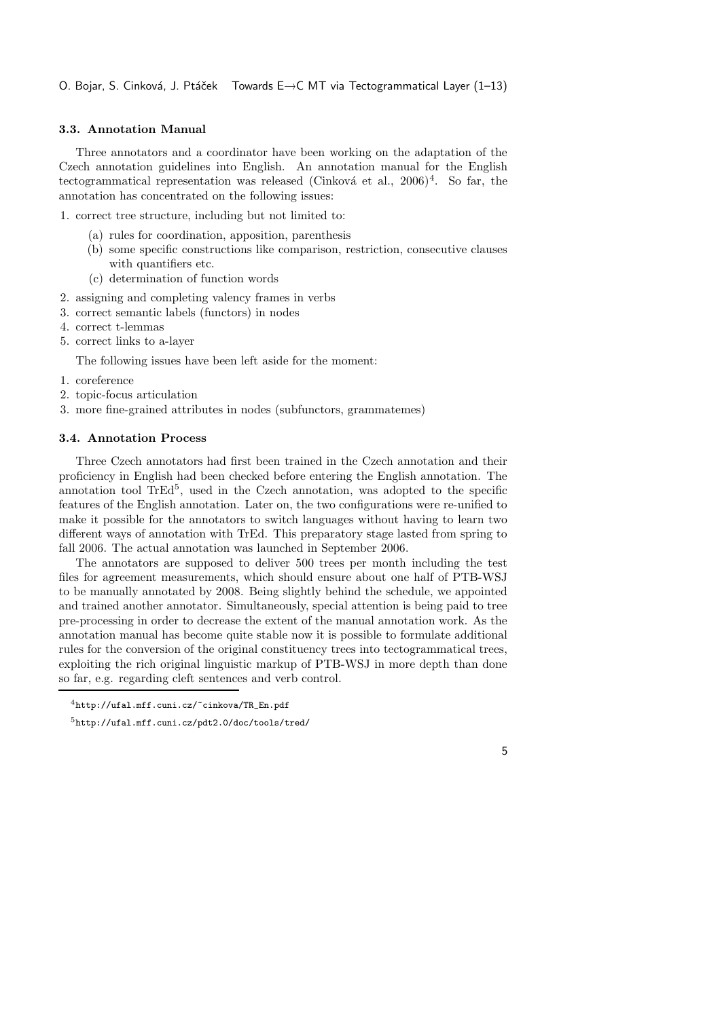# **3.3. Annotation Manual**

Three annotators and a coordinator have been working on the adaptation of the Czech annotation guidelines into English. An annotation manual for the English tectogrammatical representation was released (Cinková et al., 2006)<sup>4</sup>. So far, the annotation has concentrated on the following issues:

1. correct tree structure, including but not limited to:

- (a) rules for coordination, apposition, parenthesis
- (b) some specific constructions like comparison, restriction, consecutive clauses with quantifiers etc.
- (c) determination of function words
- 2. assigning and completing valency frames in verbs
- 3. correct semantic labels (functors) in nodes
- 4. correct t-lemmas
- 5. correct links to a-layer

The following issues have been left aside for the moment:

- 1. coreference
- 2. topic-focus articulation
- 3. more fine-grained attributes in nodes (subfunctors, grammatemes)

## **3.4. Annotation Process**

Three Czech annotators had first been trained in the Czech annotation and their proficiency in English had been checked before entering the English annotation. The annotation tool TrEd<sup>5</sup>, used in the Czech annotation, was adopted to the specific features of the English annotation. Later on, the two configurations were re-unified to make it possible for the annotators to switch languages without having to learn two different ways of annotation with TrEd. This preparatory stage lasted from spring to fall 2006. The actual annotation was launched in September 2006.

The annotators are supposed to deliver 500 trees per month including the test files for agreement measurements, which should ensure about one half of PTB-WSJ to be manually annotated by 2008. Being slightly behind the schedule, we appointed and trained another annotator. Simultaneously, special attention is being paid to tree pre-processing in order to decrease the extent of the manual annotation work. As the annotation manual has become quite stable now it is possible to formulate additional rules for the conversion of the original constituency trees into tectogrammatical trees, exploiting the rich original linguistic markup of PTB-WSJ in more depth than done so far, e.g. regarding cleft sentences and verb control.

<sup>4</sup>http://ufal.mff.cuni.cz/~cinkova/TR\_En.pdf

<sup>5</sup>http://ufal.mff.cuni.cz/pdt2.0/doc/tools/tred/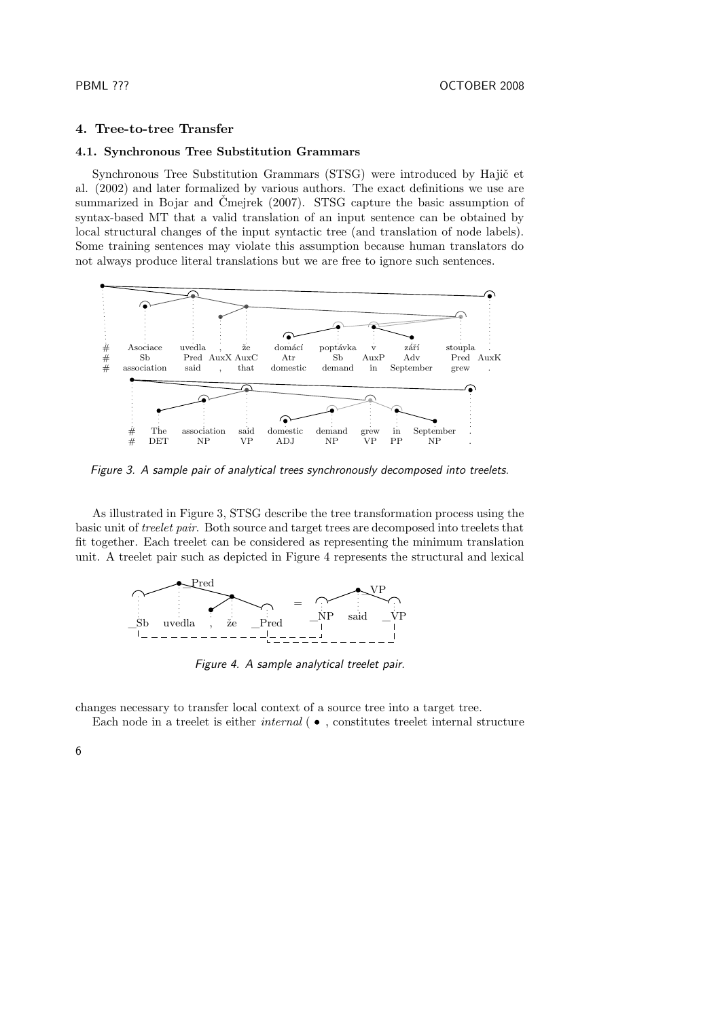# **4. Tree-to-tree Transfer**

# **4.1. Synchronous Tree Substitution Grammars**

Synchronous Tree Substitution Grammars (STSG) were introduced by Hajič et al. (2002) and later formalized by various authors. The exact definitions we use are summarized in Bojar and Čmejrek (2007). STSG capture the basic assumption of syntax-based MT that a valid translation of an input sentence can be obtained by local structural changes of the input syntactic tree (and translation of node labels). Some training sentences may violate this assumption because human translators do not always produce literal translations but we are free to ignore such sentences.



*Figure 3. A sample pair of analytical trees synchronously decomposed into treelets.*

As illustrated in Figure 3, STSG describe the tree transformation process using the basic unit of *treelet pair*. Both source and target trees are decomposed into treelets that fit together. Each treelet can be considered as representing the minimum translation unit. A treelet pair such as depicted in Figure 4 represents the structural and lexical



*Figure 4. A sample analytical treelet pair.*

changes necessary to transfer local context of a source tree into a target tree.

Each node in a treelet is either *internal* ( $\bullet$ , constitutes treelet internal structure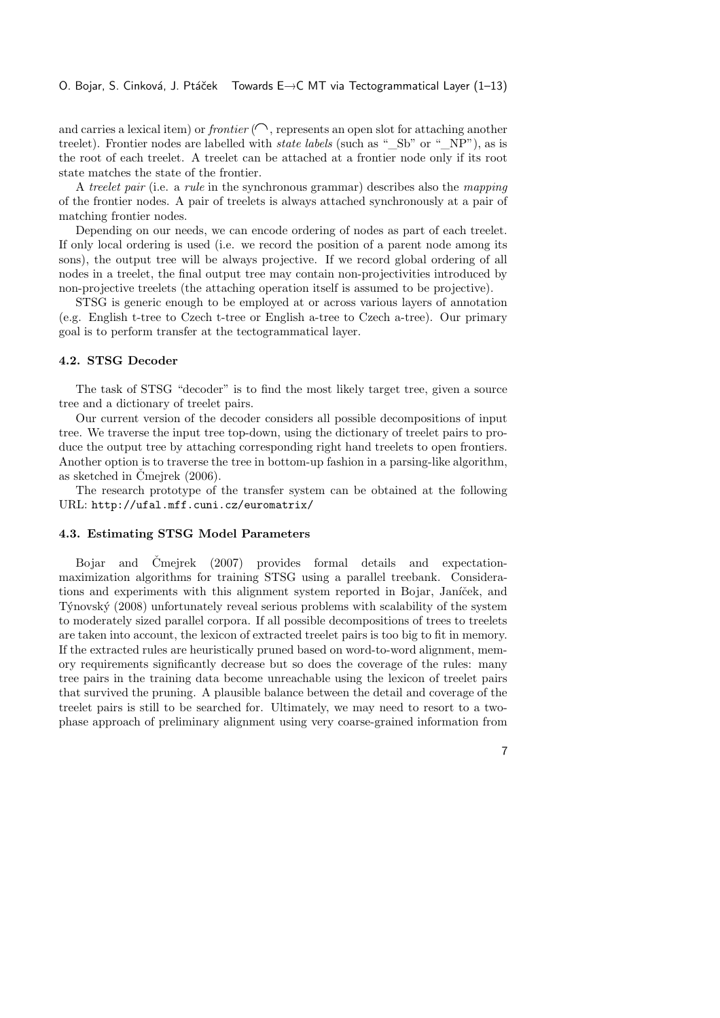and carries a lexical item) or *frontier*  $(\bigcap$ , represents an open slot for attaching another treelet). Frontier nodes are labelled with *state labels* (such as "\_Sb" or "\_NP"), as is the root of each treelet. A treelet can be attached at a frontier node only if its root state matches the state of the frontier.

A *treelet pair* (i.e. a *rule* in the synchronous grammar) describes also the *mapping* of the frontier nodes. A pair of treelets is always attached synchronously at a pair of matching frontier nodes.

Depending on our needs, we can encode ordering of nodes as part of each treelet. If only local ordering is used (i.e. we record the position of a parent node among its sons), the output tree will be always projective. If we record global ordering of all nodes in a treelet, the final output tree may contain non-projectivities introduced by non-projective treelets (the attaching operation itself is assumed to be projective).

STSG is generic enough to be employed at or across various layers of annotation (e.g. English t-tree to Czech t-tree or English a-tree to Czech a-tree). Our primary goal is to perform transfer at the tectogrammatical layer.

#### **4.2. STSG Decoder**

The task of STSG "decoder" is to find the most likely target tree, given a source tree and a dictionary of treelet pairs.

Our current version of the decoder considers all possible decompositions of input tree. We traverse the input tree top-down, using the dictionary of treelet pairs to produce the output tree by attaching corresponding right hand treelets to open frontiers. Another option is to traverse the tree in bottom-up fashion in a parsing-like algorithm, as sketched in Čmejrek (2006).

The research prototype of the transfer system can be obtained at the following URL: http://ufal.mff.cuni.cz/euromatrix/

### **4.3. Estimating STSG Model Parameters**

Bojar and Čmejrek (2007) provides formal details and expectationmaximization algorithms for training STSG using a parallel treebank. Considerations and experiments with this alignment system reported in Bojar, Janíček, and Týnovský (2008) unfortunately reveal serious problems with scalability of the system to moderately sized parallel corpora. If all possible decompositions of trees to treelets are taken into account, the lexicon of extracted treelet pairs is too big to fit in memory. If the extracted rules are heuristically pruned based on word-to-word alignment, memory requirements significantly decrease but so does the coverage of the rules: many tree pairs in the training data become unreachable using the lexicon of treelet pairs that survived the pruning. A plausible balance between the detail and coverage of the treelet pairs is still to be searched for. Ultimately, we may need to resort to a twophase approach of preliminary alignment using very coarse-grained information from

7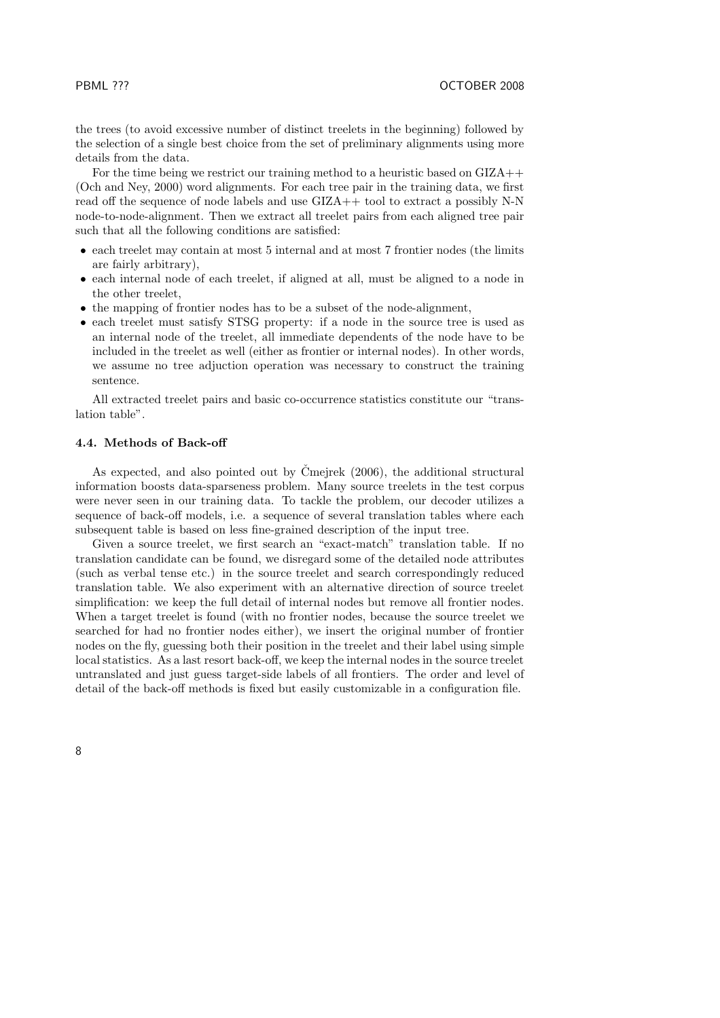the trees (to avoid excessive number of distinct treelets in the beginning) followed by the selection of a single best choice from the set of preliminary alignments using more details from the data.

For the time being we restrict our training method to a heuristic based on GIZA++ (Och and Ney, 2000) word alignments. For each tree pair in the training data, we first read off the sequence of node labels and use GIZA++ tool to extract a possibly N-N node-to-node-alignment. Then we extract all treelet pairs from each aligned tree pair such that all the following conditions are satisfied:

- each treelet may contain at most 5 internal and at most 7 frontier nodes (the limits are fairly arbitrary),
- each internal node of each treelet, if aligned at all, must be aligned to a node in the other treelet,
- the mapping of frontier nodes has to be a subset of the node-alignment,
- each treelet must satisfy STSG property: if a node in the source tree is used as an internal node of the treelet, all immediate dependents of the node have to be included in the treelet as well (either as frontier or internal nodes). In other words, we assume no tree adjuction operation was necessary to construct the training sentence.

All extracted treelet pairs and basic co-occurrence statistics constitute our "translation table".

# **4.4. Methods of Back-off**

As expected, and also pointed out by Čmejrek (2006), the additional structural information boosts data-sparseness problem. Many source treelets in the test corpus were never seen in our training data. To tackle the problem, our decoder utilizes a sequence of back-off models, i.e. a sequence of several translation tables where each subsequent table is based on less fine-grained description of the input tree.

Given a source treelet, we first search an "exact-match" translation table. If no translation candidate can be found, we disregard some of the detailed node attributes (such as verbal tense etc.) in the source treelet and search correspondingly reduced translation table. We also experiment with an alternative direction of source treelet simplification: we keep the full detail of internal nodes but remove all frontier nodes. When a target treelet is found (with no frontier nodes, because the source treelet we searched for had no frontier nodes either), we insert the original number of frontier nodes on the fly, guessing both their position in the treelet and their label using simple local statistics. As a last resort back-off, we keep the internal nodes in the source treelet untranslated and just guess target-side labels of all frontiers. The order and level of detail of the back-off methods is fixed but easily customizable in a configuration file.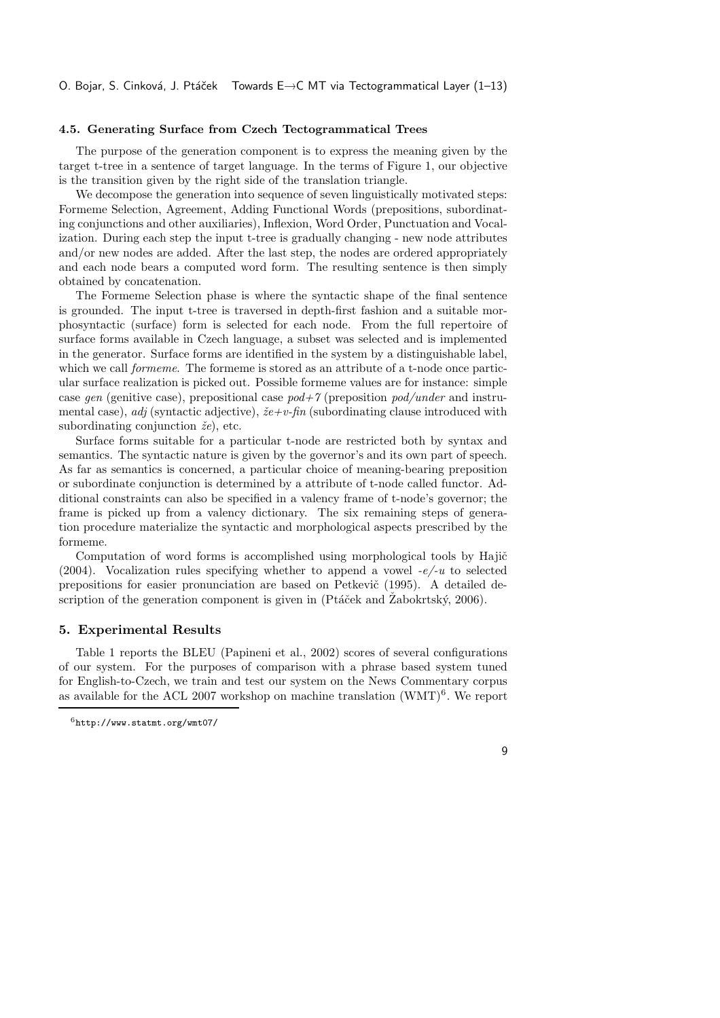#### **4.5. Generating Surface from Czech Tectogrammatical Trees**

The purpose of the generation component is to express the meaning given by the target t-tree in a sentence of target language. In the terms of Figure 1, our objective is the transition given by the right side of the translation triangle.

We decompose the generation into sequence of seven linguistically motivated steps: Formeme Selection, Agreement, Adding Functional Words (prepositions, subordinating conjunctions and other auxiliaries), Inflexion, Word Order, Punctuation and Vocalization. During each step the input t-tree is gradually changing - new node attributes and/or new nodes are added. After the last step, the nodes are ordered appropriately and each node bears a computed word form. The resulting sentence is then simply obtained by concatenation.

The Formeme Selection phase is where the syntactic shape of the final sentence is grounded. The input t-tree is traversed in depth-first fashion and a suitable morphosyntactic (surface) form is selected for each node. From the full repertoire of surface forms available in Czech language, a subset was selected and is implemented in the generator. Surface forms are identified in the system by a distinguishable label, which we call *formeme*. The formeme is stored as an attribute of a t-node once particular surface realization is picked out. Possible formeme values are for instance: simple case *gen* (genitive case), prepositional case *pod+7* (preposition *pod/under* and instrumental case), *adj* (syntactic adjective), *že+v-fin* (subordinating clause introduced with subordinating conjunction *že*), etc.

Surface forms suitable for a particular t-node are restricted both by syntax and semantics. The syntactic nature is given by the governor's and its own part of speech. As far as semantics is concerned, a particular choice of meaning-bearing preposition or subordinate conjunction is determined by a attribute of t-node called functor. Additional constraints can also be specified in a valency frame of t-node's governor; the frame is picked up from a valency dictionary. The six remaining steps of generation procedure materialize the syntactic and morphological aspects prescribed by the formeme.

Computation of word forms is accomplished using morphological tools by Hajič (2004). Vocalization rules specifying whether to append a vowel *-e/-u* to selected prepositions for easier pronunciation are based on Petkevič (1995). A detailed description of the generation component is given in (Ptáček and Žabokrtský, 2006).

### **5. Experimental Results**

Table 1 reports the BLEU (Papineni et al., 2002) scores of several configurations of our system. For the purposes of comparison with a phrase based system tuned for English-to-Czech, we train and test our system on the News Commentary corpus as available for the ACL 2007 workshop on machine translation  $(WMT)^6$ . We report

<sup>6</sup>http://www.statmt.org/wmt07/

<sup>9</sup>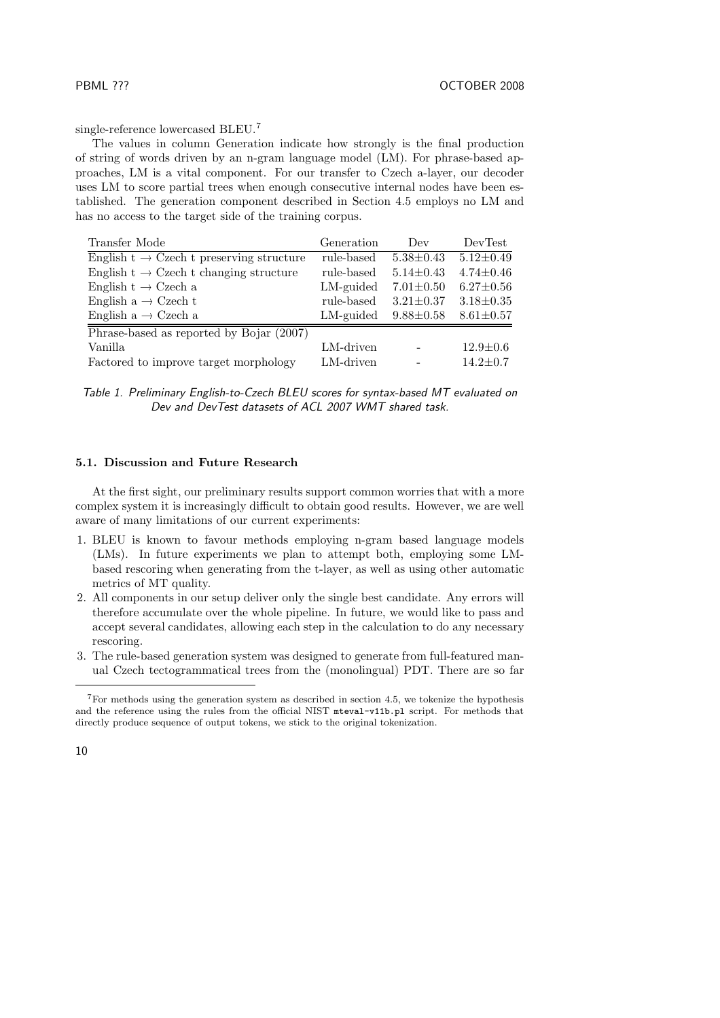single-reference lowercased BLEU.<sup>7</sup>

The values in column Generation indicate how strongly is the final production of string of words driven by an n-gram language model (LM). For phrase-based approaches, LM is a vital component. For our transfer to Czech a-layer, our decoder uses LM to score partial trees when enough consecutive internal nodes have been established. The generation component described in Section 4.5 employs no LM and has no access to the target side of the training corpus.

| Transfer Mode                                                | Generation | Dev             | DevTest         |
|--------------------------------------------------------------|------------|-----------------|-----------------|
| English $t \to C$ zech t preserving structure                | rule-based | $5.38 \pm 0.43$ | $5.12 \pm 0.49$ |
| English $t \rightarrow$ Czech t changing structure           | rule-based | $5.14 \pm 0.43$ | $4.74 \pm 0.46$ |
| English t $\rightarrow$ Czech a                              | LM-guided  | $7.01 \pm 0.50$ | $6.27 \pm 0.56$ |
| English $a \rightarrow C$ zech t                             | rule-based | $3.21 \pm 0.37$ | $3.18 \pm 0.35$ |
| English a $\rightarrow$ Czech a                              | LM-guided  | $9.88 \pm 0.58$ | $8.61 \pm 0.57$ |
| $\overline{\text{Phrase-based}}$ as reported by Bojar (2007) |            |                 |                 |
| Vanilla                                                      | LM-driven  |                 | $12.9 \pm 0.6$  |
| Factored to improve target morphology                        | LM-driven  |                 | $14.2 \pm 0.7$  |

| Table 1. Preliminary English-to-Czech BLEU scores for syntax-based MT evaluated on |  |
|------------------------------------------------------------------------------------|--|
| Dev and DevTest datasets of ACL 2007 WMT shared task.                              |  |

### **5.1. Discussion and Future Research**

At the first sight, our preliminary results support common worries that with a more complex system it is increasingly difficult to obtain good results. However, we are well aware of many limitations of our current experiments:

- 1. BLEU is known to favour methods employing n-gram based language models (LMs). In future experiments we plan to attempt both, employing some LMbased rescoring when generating from the t-layer, as well as using other automatic metrics of MT quality.
- 2. All components in our setup deliver only the single best candidate. Any errors will therefore accumulate over the whole pipeline. In future, we would like to pass and accept several candidates, allowing each step in the calculation to do any necessary rescoring.
- 3. The rule-based generation system was designed to generate from full-featured manual Czech tectogrammatical trees from the (monolingual) PDT. There are so far

<sup>7</sup>For methods using the generation system as described in section 4.5, we tokenize the hypothesis and the reference using the rules from the official NIST mteval-v11b.pl script. For methods that directly produce sequence of output tokens, we stick to the original tokenization.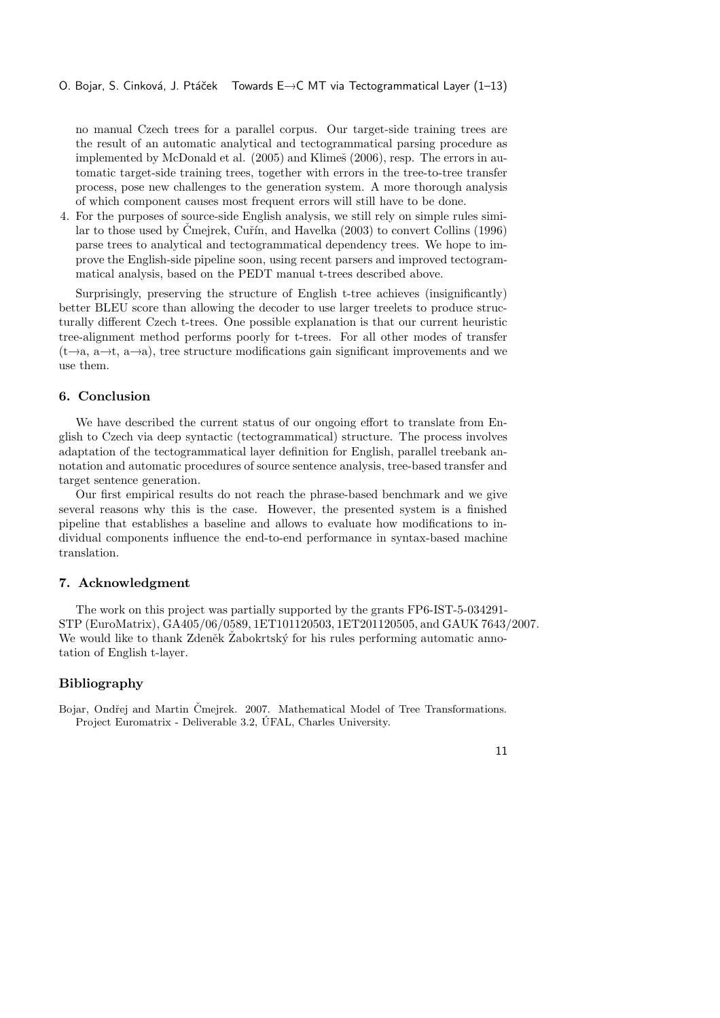no manual Czech trees for a parallel corpus. Our target-side training trees are the result of an automatic analytical and tectogrammatical parsing procedure as implemented by McDonald et al. (2005) and Klimeš (2006), resp. The errors in automatic target-side training trees, together with errors in the tree-to-tree transfer process, pose new challenges to the generation system. A more thorough analysis of which component causes most frequent errors will still have to be done.

4. For the purposes of source-side English analysis, we still rely on simple rules similar to those used by Čmejrek, Cuřín, and Havelka (2003) to convert Collins (1996) parse trees to analytical and tectogrammatical dependency trees. We hope to improve the English-side pipeline soon, using recent parsers and improved tectogrammatical analysis, based on the PEDT manual t-trees described above.

Surprisingly, preserving the structure of English t-tree achieves (insignificantly) better BLEU score than allowing the decoder to use larger treelets to produce structurally different Czech t-trees. One possible explanation is that our current heuristic tree-alignment method performs poorly for t-trees. For all other modes of transfer  $(t\rightarrow a, a\rightarrow t, a\rightarrow a)$ , tree structure modifications gain significant improvements and we use them.

#### **6. Conclusion**

We have described the current status of our ongoing effort to translate from English to Czech via deep syntactic (tectogrammatical) structure. The process involves adaptation of the tectogrammatical layer definition for English, parallel treebank annotation and automatic procedures of source sentence analysis, tree-based transfer and target sentence generation.

Our first empirical results do not reach the phrase-based benchmark and we give several reasons why this is the case. However, the presented system is a finished pipeline that establishes a baseline and allows to evaluate how modifications to individual components influence the end-to-end performance in syntax-based machine translation.

#### **7. Acknowledgment**

The work on this project was partially supported by the grants FP6-IST-5-034291- STP (EuroMatrix), GA405/06/0589, 1ET101120503, 1ET201120505, and GAUK 7643/2007. We would like to thank Zdeněk Žabokrtský for his rules performing automatic annotation of English t-layer.

# **Bibliography**

Bojar, Ondřej and Martin Čmejrek. 2007. Mathematical Model of Tree Transformations. Project Euromatrix - Deliverable 3.2, ÚFAL, Charles University.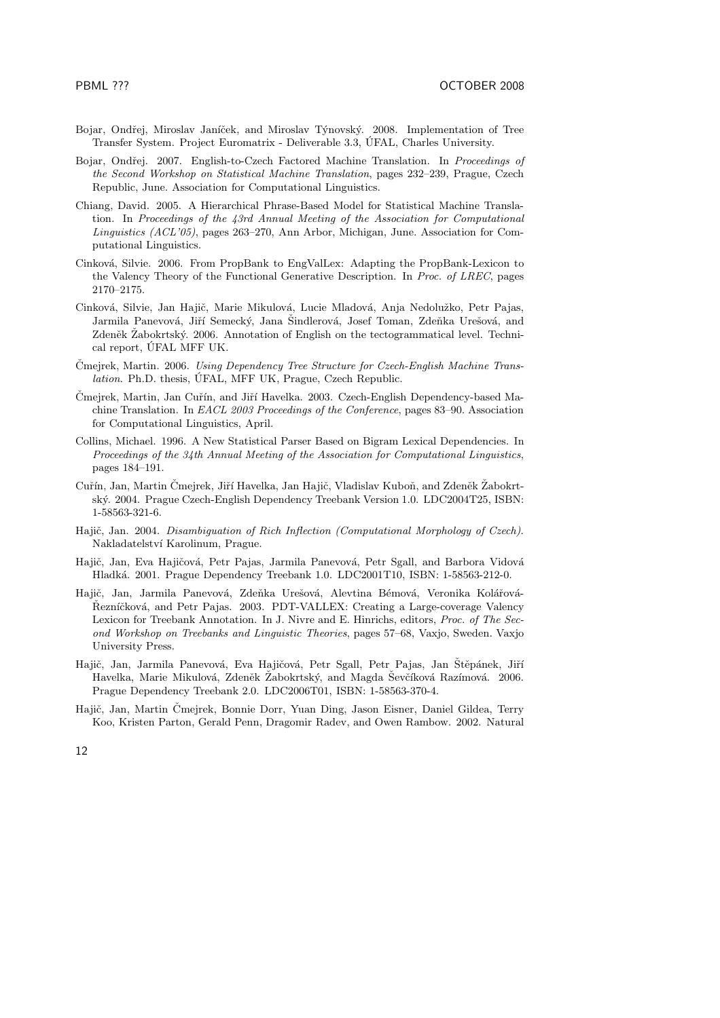- Bojar, Ondřej, Miroslav Janíček, and Miroslav Týnovský. 2008. Implementation of Tree Transfer System. Project Euromatrix - Deliverable 3.3, ÚFAL, Charles University.
- Bojar, Ondřej. 2007. English-to-Czech Factored Machine Translation. In *Proceedings of the Second Workshop on Statistical Machine Translation*, pages 232–239, Prague, Czech Republic, June. Association for Computational Linguistics.
- Chiang, David. 2005. A Hierarchical Phrase-Based Model for Statistical Machine Translation. In *Proceedings of the 43rd Annual Meeting of the Association for Computational Linguistics (ACL'05)*, pages 263–270, Ann Arbor, Michigan, June. Association for Computational Linguistics.
- Cinková, Silvie. 2006. From PropBank to EngValLex: Adapting the PropBank-Lexicon to the Valency Theory of the Functional Generative Description. In *Proc. of LREC*, pages 2170–2175.
- Cinková, Silvie, Jan Hajič, Marie Mikulová, Lucie Mladová, Anja Nedolužko, Petr Pajas, Jarmila Panevová, Jiří Semecký, Jana Šindlerová, Josef Toman, Zdeňka Urešová, and Zdeněk Žabokrtský. 2006. Annotation of English on the tectogrammatical level. Technical report, ÚFAL MFF UK.
- Čmejrek, Martin. 2006. *Using Dependency Tree Structure for Czech-English Machine Translation*. Ph.D. thesis, ÚFAL, MFF UK, Prague, Czech Republic.
- Čmejrek, Martin, Jan Cuřín, and Jiří Havelka. 2003. Czech-English Dependency-based Machine Translation. In *EACL 2003 Proceedings of the Conference*, pages 83–90. Association for Computational Linguistics, April.
- Collins, Michael. 1996. A New Statistical Parser Based on Bigram Lexical Dependencies. In *Proceedings of the 34th Annual Meeting of the Association for Computational Linguistics*, pages 184–191.
- Cuřín, Jan, Martin Čmejrek, Jiří Havelka, Jan Hajič, Vladislav Kuboň, and Zdeněk Žabokrtský. 2004. Prague Czech-English Dependency Treebank Version 1.0. LDC2004T25, ISBN: 1-58563-321-6.
- Hajič, Jan. 2004. *Disambiguation of Rich Inflection (Computational Morphology of Czech)*. Nakladatelství Karolinum, Prague.
- Hajič, Jan, Eva Hajičová, Petr Pajas, Jarmila Panevová, Petr Sgall, and Barbora Vidová Hladká. 2001. Prague Dependency Treebank 1.0. LDC2001T10, ISBN: 1-58563-212-0.
- Hajič, Jan, Jarmila Panevová, Zdeňka Urešová, Alevtina Bémová, Veronika Kolářová-Řezníčková, and Petr Pajas. 2003. PDT-VALLEX: Creating a Large-coverage Valency Lexicon for Treebank Annotation. In J. Nivre and E. Hinrichs, editors, *Proc. of The Second Workshop on Treebanks and Linguistic Theories*, pages 57–68, Vaxjo, Sweden. Vaxjo University Press.
- Hajič, Jan, Jarmila Panevová, Eva Hajičová, Petr Sgall, Petr Pajas, Jan Štěpánek, Jiří Havelka, Marie Mikulová, Zdeněk Žabokrtský, and Magda Ševčíková Razímová. 2006. Prague Dependency Treebank 2.0. LDC2006T01, ISBN: 1-58563-370-4.
- Hajič, Jan, Martin Čmejrek, Bonnie Dorr, Yuan Ding, Jason Eisner, Daniel Gildea, Terry Koo, Kristen Parton, Gerald Penn, Dragomir Radev, and Owen Rambow. 2002. Natural